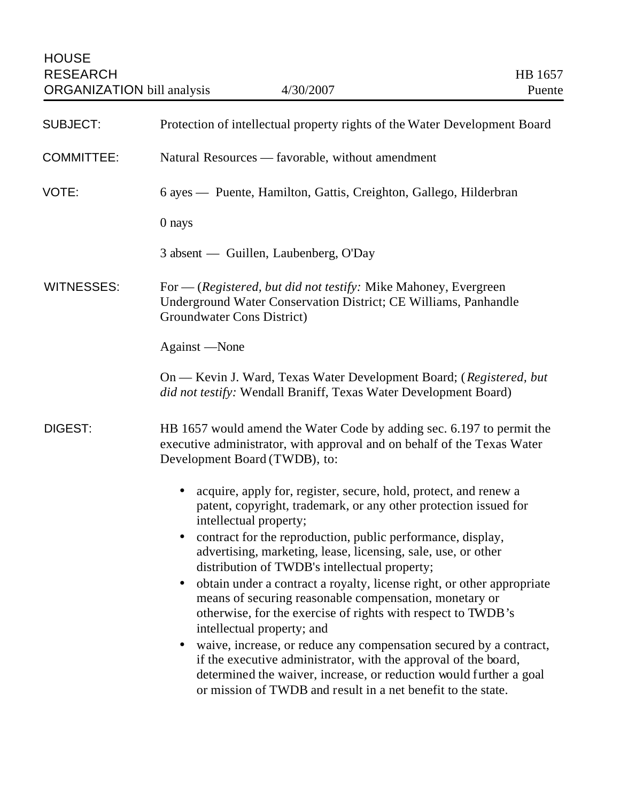| <b>SUBJECT:</b>   | Protection of intellectual property rights of the Water Development Board                                                                                                                                                                                                                |
|-------------------|------------------------------------------------------------------------------------------------------------------------------------------------------------------------------------------------------------------------------------------------------------------------------------------|
| <b>COMMITTEE:</b> | Natural Resources — favorable, without amendment                                                                                                                                                                                                                                         |
| VOTE:             | 6 ayes - Puente, Hamilton, Gattis, Creighton, Gallego, Hilderbran                                                                                                                                                                                                                        |
|                   | 0 nays                                                                                                                                                                                                                                                                                   |
|                   | 3 absent — Guillen, Laubenberg, O'Day                                                                                                                                                                                                                                                    |
| <b>WITNESSES:</b> | For — (Registered, but did not testify: Mike Mahoney, Evergreen<br>Underground Water Conservation District; CE Williams, Panhandle<br>Groundwater Cons District)                                                                                                                         |
|                   | Against —None                                                                                                                                                                                                                                                                            |
|                   | On — Kevin J. Ward, Texas Water Development Board; (Registered, but<br>did not testify: Wendall Braniff, Texas Water Development Board)                                                                                                                                                  |
| <b>DIGEST:</b>    | HB 1657 would amend the Water Code by adding sec. 6.197 to permit the<br>executive administrator, with approval and on behalf of the Texas Water<br>Development Board (TWDB), to:                                                                                                        |
|                   | acquire, apply for, register, secure, hold, protect, and renew a<br>$\bullet$<br>patent, copyright, trademark, or any other protection issued for<br>intellectual property;                                                                                                              |
|                   | contract for the reproduction, public performance, display,<br>$\bullet$<br>advertising, marketing, lease, licensing, sale, use, or other<br>distribution of TWDB's intellectual property;                                                                                               |
|                   | obtain under a contract a royalty, license right, or other appropriate<br>$\bullet$<br>means of securing reasonable compensation, monetary or<br>otherwise, for the exercise of rights with respect to TWDB's<br>intellectual property; and                                              |
|                   | waive, increase, or reduce any compensation secured by a contract,<br>$\bullet$<br>if the executive administrator, with the approval of the board,<br>determined the waiver, increase, or reduction would further a goal<br>or mission of TWDB and result in a net benefit to the state. |